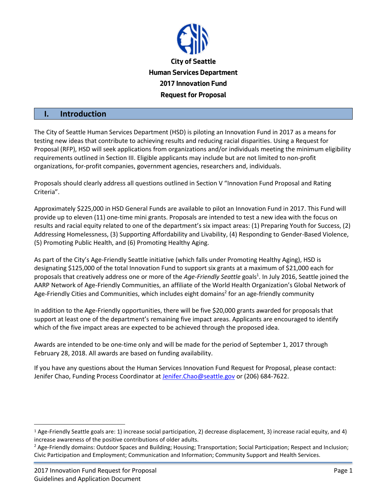

#### **I. Introduction**

The City of Seattle Human Services Department (HSD) is piloting an Innovation Fund in 2017 as a means for testing new ideas that contribute to achieving results and reducing racial disparities. Using a Request for Proposal (RFP), HSD will seek applications from organizations and/or individuals meeting the minimum eligibility requirements outlined in Section III. Eligible applicants may include but are not limited to non-profit organizations, for-profit companies, government agencies, researchers and, individuals.

Proposals should clearly address all questions outlined in Section V "Innovation Fund Proposal and Rating Criteria".

Approximately \$225,000 in HSD General Funds are available to pilot an Innovation Fund in 2017. This Fund will provide up to eleven (11) one-time mini grants. Proposals are intended to test a new idea with the focus on results and racial equity related to one of the department's six impact areas: (1) Preparing Youth for Success, (2) Addressing Homelessness, (3) Supporting Affordability and Livability, (4) Responding to Gender-Based Violence, (5) Promoting Public Health, and (6) Promoting Healthy Aging.

As part of the City's Age-Friendly Seattle initiative (which falls under Promoting Healthy Aging), HSD is designating \$125,000 of the total Innovation Fund to support six grants at a maximum of \$21,000 each for proposals that creatively address one or more of the *Age-Friendly Seattle* goals<sup>1</sup>. In July 2016, Seattle joined the AARP Network of Age-Friendly Communities, an affiliate of the World Health Organization's Global Network of Age-Friendly Cities and Communities, which includes eight domains<sup>2</sup> for an age-friendly community

In addition to the Age-Friendly opportunities, there will be five \$20,000 grants awarded for proposals that support at least one of the department's remaining five impact areas. Applicants are encouraged to identify which of the five impact areas are expected to be achieved through the proposed idea.

Awards are intended to be one-time only and will be made for the period of September 1, 2017 through February 28, 2018. All awards are based on funding availability.

If you have any questions about the Human Services Innovation Fund Request for Proposal, please contact: Jenifer Chao, Funding Process Coordinator at [Jenifer.Chao@seattle.gov](mailto:Jenifer.Chao@seattle.gov) or (206) 684-7622.

 $\overline{a}$ 

<sup>1</sup> Age-Friendly Seattle goals are: 1) increase social participation, 2) decrease displacement, 3) increase racial equity, and 4) increase awareness of the positive contributions of older adults.

<sup>&</sup>lt;sup>2</sup> Age-Friendly domains: Outdoor Spaces and Building; Housing; Transportation; Social Participation; Respect and Inclusion; Civic Participation and Employment; Communication and Information; Community Support and Health Services.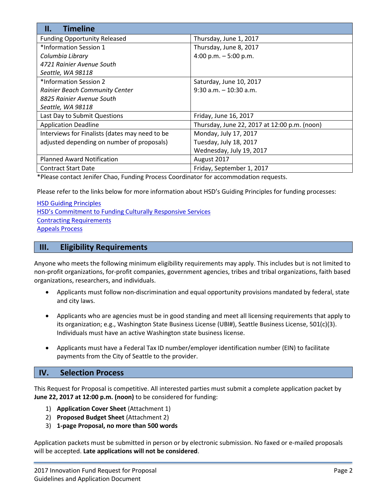| <b>Timeline</b><br>II.                         |                                              |
|------------------------------------------------|----------------------------------------------|
| <b>Funding Opportunity Released</b>            | Thursday, June 1, 2017                       |
| *Information Session 1                         | Thursday, June 8, 2017                       |
| Columbia Library                               | 4:00 p.m. $-5:00$ p.m.                       |
| 4721 Rainier Avenue South                      |                                              |
| Seattle, WA 98118                              |                                              |
| *Information Session 2                         | Saturday, June 10, 2017                      |
| <b>Rainier Beach Community Center</b>          | $9:30$ a.m. $-10:30$ a.m.                    |
| 8825 Rainier Avenue South                      |                                              |
| Seattle, WA 98118                              |                                              |
| Last Day to Submit Questions                   | Friday, June 16, 2017                        |
| <b>Application Deadline</b>                    | Thursday, June 22, 2017 at 12:00 p.m. (noon) |
| Interviews for Finalists (dates may need to be | Monday, July 17, 2017                        |
| adjusted depending on number of proposals)     | Tuesday, July 18, 2017                       |
|                                                | Wednesday, July 19, 2017                     |
| <b>Planned Award Notification</b>              | August 2017                                  |
| <b>Contract Start Date</b>                     | Friday, September 1, 2017                    |

\*Please contact Jenifer Chao, Funding Process Coordinator for accommodation requests.

Please refer to the links below for more information about HSD's Guiding Principles for funding processes:

[HSD Guiding Principles](http://www.seattle.gov/Documents/Departments/HumanServices/Funding/Community%20Connector/innovation%20fund/pdfs/HSDGuidingPrinciples.pdf) [HSD's Commitment to Funding Culturally Responsive Services](http://www.seattle.gov/Documents/Departments/HumanServices/Funding/Community%20Connector/innovation%20fund/pdfs/HSDsCommitmenttoFundingCulturallyResponsiveServices.pdf) [Contracting Requirements](http://www.seattle.gov/Documents/Departments/HumanServices/Funding/Community%20Connector/innovation%20fund/pdfs/HSD) [Appeals Process](http://www.seattle.gov/Documents/Departments/HumanServices/Funding/Community%20Connector/innovation%20fund/pdfs/HSD)

### **III. Eligibility Requirements**

Anyone who meets the following minimum eligibility requirements may apply. This includes but is not limited to non-profit organizations, for-profit companies, government agencies, tribes and tribal organizations, faith based organizations, researchers, and individuals.

- Applicants must follow non-discrimination and equal opportunity provisions mandated by federal, state and city laws.
- Applicants who are agencies must be in good standing and meet all licensing requirements that apply to its organization; e.g., Washington State Business License (UBI#), Seattle Business License, 501(c)(3). Individuals must have an active Washington state business license.
- Applicants must have a Federal Tax ID number/employer identification number (EIN) to facilitate payments from the City of Seattle to the provider.

### **IV. Selection Process**

This Request for Proposal is competitive. All interested parties must submit a complete application packet by **June 22, 2017 at 12:00 p.m. (noon)** to be considered for funding:

- 1) **Application Cover Sheet** (Attachment 1)
- 2) **Proposed Budget Sheet** (Attachment 2)
- 3) **1-page Proposal, no more than 500 words**

Application packets must be submitted in person or by electronic submission. No faxed or e-mailed proposals will be accepted. **Late applications will not be considered**.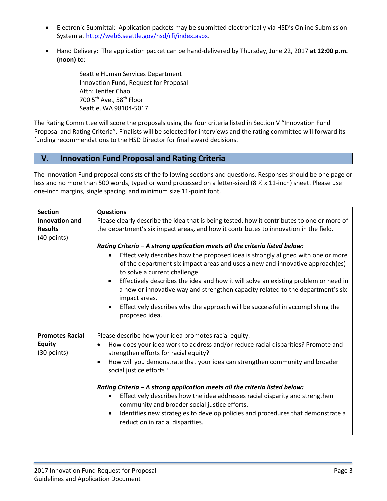- Electronic Submittal: Application packets may be submitted electronically via HSD's Online Submission System at [http://web6.seattle.gov/hsd/rfi/index.aspx.](http://web6.seattle.gov/hsd/rfi/index.aspx)
- Hand Delivery: The application packet can be hand-delivered by Thursday, June 22, 2017 **at 12:00 p.m. (noon)** to:

Seattle Human Services Department Innovation Fund, Request for Proposal Attn: Jenifer Chao 700 5th Ave., 58th Floor Seattle, WA 98104-5017

The Rating Committee will score the proposals using the four criteria listed in Section V "Innovation Fund Proposal and Rating Criteria". Finalists will be selected for interviews and the rating committee will forward its funding recommendations to the HSD Director for final award decisions.

# **V. Innovation Fund Proposal and Rating Criteria**

The Innovation Fund proposal consists of the following sections and questions. Responses should be one page or less and no more than 500 words, typed or word processed on a letter-sized (8  $\frac{1}{2}$  x 11-inch) sheet. Please use one-inch margins, single spacing, and minimum size 11-point font.

| <b>Section</b>               | <b>Questions</b>                                                                                                                                                                                                              |  |  |
|------------------------------|-------------------------------------------------------------------------------------------------------------------------------------------------------------------------------------------------------------------------------|--|--|
| Innovation and               | Please clearly describe the idea that is being tested, how it contributes to one or more of                                                                                                                                   |  |  |
| <b>Results</b>               | the department's six impact areas, and how it contributes to innovation in the field.                                                                                                                                         |  |  |
| (40 points)                  |                                                                                                                                                                                                                               |  |  |
|                              | Rating Criteria - A strong application meets all the criteria listed below:                                                                                                                                                   |  |  |
|                              | Effectively describes how the proposed idea is strongly aligned with one or more<br>of the department six impact areas and uses a new and innovative approach(es)<br>to solve a current challenge.                            |  |  |
|                              | Effectively describes the idea and how it will solve an existing problem or need in<br>$\bullet$<br>a new or innovative way and strengthen capacity related to the department's six<br>impact areas.                          |  |  |
|                              | Effectively describes why the approach will be successful in accomplishing the<br>proposed idea.                                                                                                                              |  |  |
| <b>Promotes Racial</b>       | Please describe how your idea promotes racial equity.                                                                                                                                                                         |  |  |
| <b>Equity</b><br>(30 points) | How does your idea work to address and/or reduce racial disparities? Promote and<br>$\bullet$<br>strengthen efforts for racial equity?                                                                                        |  |  |
|                              | How will you demonstrate that your idea can strengthen community and broader<br>$\bullet$<br>social justice efforts?                                                                                                          |  |  |
|                              | Rating Criteria - A strong application meets all the criteria listed below:                                                                                                                                                   |  |  |
|                              | Effectively describes how the idea addresses racial disparity and strengthen<br>community and broader social justice efforts.<br>Identifies new strategies to develop policies and procedures that demonstrate a<br>$\bullet$ |  |  |
|                              | reduction in racial disparities.                                                                                                                                                                                              |  |  |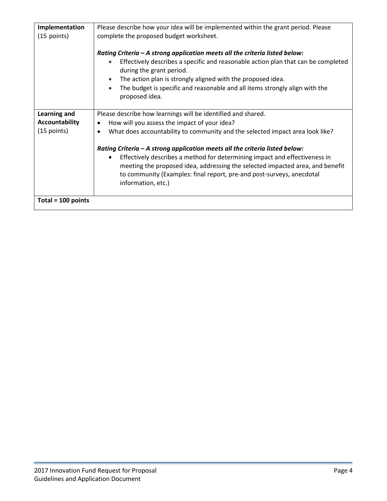| Implementation        | Please describe how your idea will be implemented within the grant period. Please                                                                                                                                                                                                                                                                                         |  |  |
|-----------------------|---------------------------------------------------------------------------------------------------------------------------------------------------------------------------------------------------------------------------------------------------------------------------------------------------------------------------------------------------------------------------|--|--|
| $(15$ points)         | complete the proposed budget worksheet.                                                                                                                                                                                                                                                                                                                                   |  |  |
|                       | Rating Criteria - A strong application meets all the criteria listed below:<br>Effectively describes a specific and reasonable action plan that can be completed<br>during the grant period.<br>The action plan is strongly aligned with the proposed idea.<br>The budget is specific and reasonable and all items strongly align with the<br>$\bullet$<br>proposed idea. |  |  |
| <b>Learning and</b>   | Please describe how learnings will be identified and shared.                                                                                                                                                                                                                                                                                                              |  |  |
| <b>Accountability</b> | How will you assess the impact of your idea?<br>٠                                                                                                                                                                                                                                                                                                                         |  |  |
| $(15$ points)         | What does accountability to community and the selected impact area look like?                                                                                                                                                                                                                                                                                             |  |  |
|                       | Rating Criteria - A strong application meets all the criteria listed below:<br>Effectively describes a method for determining impact and effectiveness in<br>meeting the proposed idea, addressing the selected impacted area, and benefit<br>to community (Examples: final report, pre-and post-surveys, anecdotal<br>information, etc.)                                 |  |  |
| Total = $100$ points  |                                                                                                                                                                                                                                                                                                                                                                           |  |  |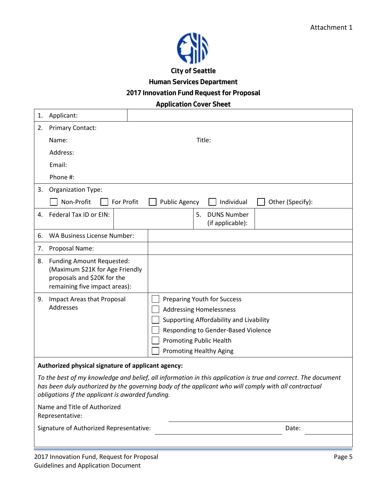

**Human Services Department**

**2017 Innovation Fund Request for Proposal**

## **Application Cover Sheet**

| 1.                                                                                                                                                                                                                                                                                                                           | Applicant:                                                                                                                          |                                                                                                                                                                                                                     |  |  |  |
|------------------------------------------------------------------------------------------------------------------------------------------------------------------------------------------------------------------------------------------------------------------------------------------------------------------------------|-------------------------------------------------------------------------------------------------------------------------------------|---------------------------------------------------------------------------------------------------------------------------------------------------------------------------------------------------------------------|--|--|--|
| 2.                                                                                                                                                                                                                                                                                                                           | <b>Primary Contact:</b>                                                                                                             |                                                                                                                                                                                                                     |  |  |  |
|                                                                                                                                                                                                                                                                                                                              | Name:                                                                                                                               | Title:                                                                                                                                                                                                              |  |  |  |
|                                                                                                                                                                                                                                                                                                                              | Address:                                                                                                                            |                                                                                                                                                                                                                     |  |  |  |
|                                                                                                                                                                                                                                                                                                                              | Email:                                                                                                                              |                                                                                                                                                                                                                     |  |  |  |
|                                                                                                                                                                                                                                                                                                                              | Phone #:                                                                                                                            |                                                                                                                                                                                                                     |  |  |  |
| 3.                                                                                                                                                                                                                                                                                                                           | <b>Organization Type:</b>                                                                                                           |                                                                                                                                                                                                                     |  |  |  |
|                                                                                                                                                                                                                                                                                                                              | Non-Profit<br>For Profit                                                                                                            | <b>Public Agency</b><br>Individual<br>Other (Specify):                                                                                                                                                              |  |  |  |
| 4.                                                                                                                                                                                                                                                                                                                           | Federal Tax ID or EIN:                                                                                                              | 5.<br><b>DUNS Number</b><br>(if applicable):                                                                                                                                                                        |  |  |  |
| 6.                                                                                                                                                                                                                                                                                                                           | WA Business License Number:                                                                                                         |                                                                                                                                                                                                                     |  |  |  |
| 7.                                                                                                                                                                                                                                                                                                                           | Proposal Name:                                                                                                                      |                                                                                                                                                                                                                     |  |  |  |
| 8.                                                                                                                                                                                                                                                                                                                           | <b>Funding Amount Requested:</b><br>(Maximum \$21K for Age Friendly<br>proposals and \$20K for the<br>remaining five impact areas): |                                                                                                                                                                                                                     |  |  |  |
| 9.                                                                                                                                                                                                                                                                                                                           | Impact Areas that Proposal<br>Addresses                                                                                             | Preparing Youth for Success<br><b>Addressing Homelessness</b><br>Supporting Affordability and Livability<br>Responding to Gender-Based Violence<br><b>Promoting Public Health</b><br><b>Promoting Healthy Aging</b> |  |  |  |
|                                                                                                                                                                                                                                                                                                                              | Authorized physical signature of applicant agency:                                                                                  |                                                                                                                                                                                                                     |  |  |  |
| To the best of my knowledge and belief, all information in this application is true and correct. The document<br>has been duly authorized by the governing body of the applicant who will comply with all contractual<br>obligations if the applicant is awarded funding.<br>Name and Title of Authorized<br>Representative: |                                                                                                                                     |                                                                                                                                                                                                                     |  |  |  |
|                                                                                                                                                                                                                                                                                                                              | Signature of Authorized Representative:                                                                                             | Date:                                                                                                                                                                                                               |  |  |  |
|                                                                                                                                                                                                                                                                                                                              | 2017 Innovation Fund, Request for Proposal                                                                                          | Page 5                                                                                                                                                                                                              |  |  |  |